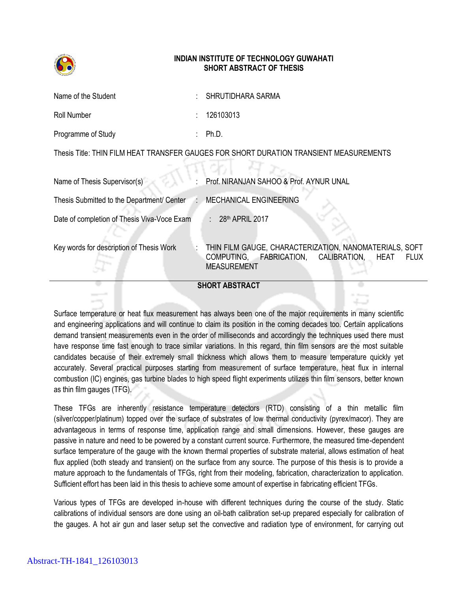

## **INDIAN INSTITUTE OF TECHNOLOGY GUWAHATI SHORT ABSTRACT OF THESIS**

| Name of the Student | : SHRUTIDHARA SARMA |
|---------------------|---------------------|
| Roll Number         | : 126103013         |
| Programme of Study  | Ph.D.               |

Thesis Title: THIN FILM HEAT TRANSFER GAUGES FOR SHORT DURATION TRANSIENT MEASUREMENTS -25 RE

| <b>SHORT ABSTRACT</b>                       |  |                                                                                                                                                |  |
|---------------------------------------------|--|------------------------------------------------------------------------------------------------------------------------------------------------|--|
| Key words for description of Thesis Work    |  | THIN FILM GAUGE, CHARACTERIZATION, NANOMATERIALS, SOFT<br>COMPUTING, FABRICATION,<br>CALIBRATION,<br><b>FLUX</b><br>HEAT<br><b>MEASUREMENT</b> |  |
| Date of completion of Thesis Viva-Voce Exam |  | : $28th$ APRIL 2017                                                                                                                            |  |
| Thesis Submitted to the Department/ Center  |  | <b>MECHANICAL ENGINEERING</b>                                                                                                                  |  |
| Name of Thesis Supervisor(s)                |  | Prof. NIRANJAN SAHOO & Prof. AYNUR UNAL                                                                                                        |  |

Surface temperature or heat flux measurement has always been one of the major requirements in many scientific and engineering applications and will continue to claim its position in the coming decades too. Certain applications demand transient measurements even in the order of milliseconds and accordingly the techniques used there must have response time fast enough to trace similar variations. In this regard, thin film sensors are the most suitable candidates because of their extremely small thickness which allows them to measure temperature quickly yet accurately. Several practical purposes starting from measurement of surface temperature, heat flux in internal combustion (IC) engines, gas turbine blades to high speed flight experiments utilizes thin film sensors, better known as thin film gauges (TFG).

These TFGs are inherently resistance temperature detectors (RTD) consisting of a thin metallic film (silver/copper/platinum) topped over the surface of substrates of low thermal conductivity (pyrex/macor). They are advantageous in terms of response time, application range and small dimensions. However, these gauges are passive in nature and need to be powered by a constant current source. Furthermore, the measured time-dependent surface temperature of the gauge with the known thermal properties of substrate material, allows estimation of heat flux applied (both steady and transient) on the surface from any source. The purpose of this thesis is to provide a mature approach to the fundamentals of TFGs, right from their modeling, fabrication, characterization to application. Sufficient effort has been laid in this thesis to achieve some amount of expertise in fabricating efficient TFGs.

Various types of TFGs are developed in-house with different techniques during the course of the study. Static calibrations of individual sensors are done using an oil-bath calibration set-up prepared especially for calibration of the gauges. A hot air gun and laser setup set the convective and radiation type of environment, for carrying out